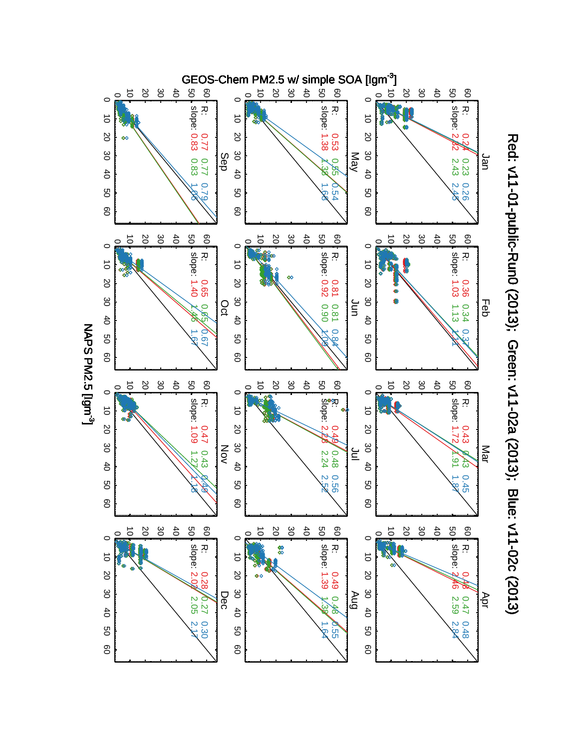

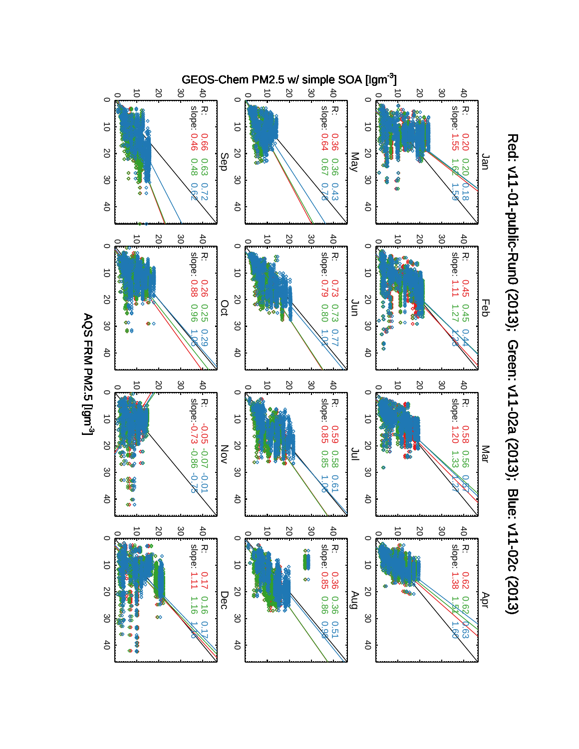

Red: v11-01-public-Runo (2013); Green: v11-02a (2013); Blue: v11-02a (2013); Red: v11-01-public-Run0 (2013); Green: v11-02a (2013); Blue: v11-02c (2013)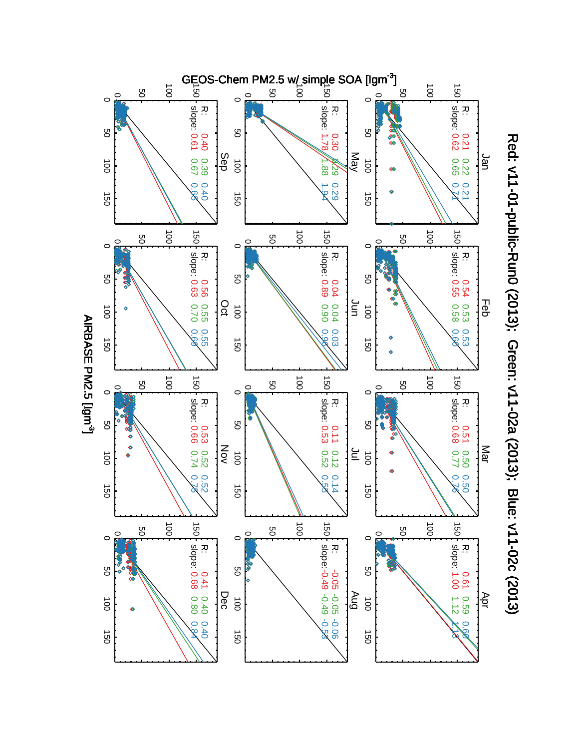

Red: v11-01-public-Rund (2013); Green: v11-02a (2013); Blue: v11-02a (2013); Red: v11-01-public-Run0 (2013); Green: v11-02a (2013); Blue: v11-02c (2013)